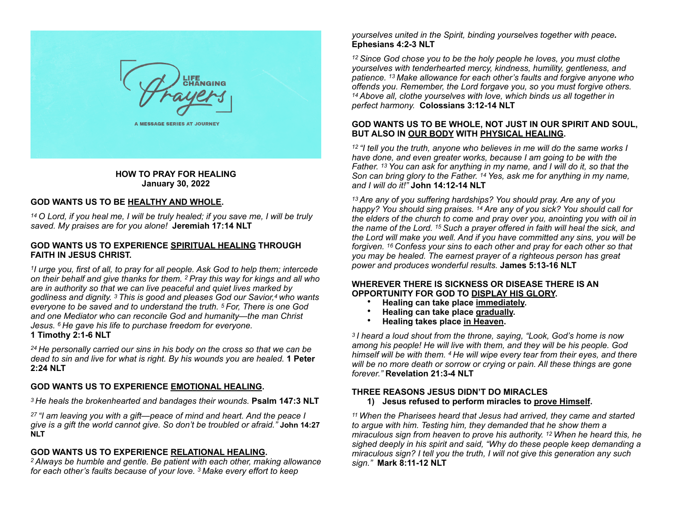

**HOW TO PRAY FOR HEALING January 30, 2022**

# **GOD WANTS US TO BE HEALTHY AND WHOLE.**

*14 O Lord, if you heal me, I will be truly healed; if you save me, I will be truly saved. My praises are for you alone!* **Jeremiah 17:14 NLT**

#### **GOD WANTS US TO EXPERIENCE SPIRITUAL HEALING THROUGH FAITH IN JESUS CHRIST.**

*1I urge you, first of all, to pray for all people. Ask God to help them; intercede on their behalf and give thanks for them. 2 Pray this way for kings and all who are in authority so that we can live peaceful and quiet lives marked by godliness and dignity. 3 This is good and pleases God our Savior,4 who wants everyone to be saved and to understand the truth. 5 For, There is one God and one Mediator who can reconcile God and humanity—the man Christ Jesus. 6 He gave his life to purchase freedom for everyone.* **1 Timothy 2:1-6 NLT**

*24 He personally carried our sins in his body on the cross so that we can be dead to sin and live for what is right. By his wounds you are healed.* **1 Peter 2:24 NLT**

# **GOD WANTS US TO EXPERIENCE EMOTIONAL HEALING.**

*3 He heals the brokenhearted and bandages their wounds.* **Psalm 147:3 NLT**

*27 "I am leaving you with a gift—peace of mind and heart. And the peace I give is a gift the world cannot give. So don't be troubled or afraid."* **John 14:27 NLT**

# **GOD WANTS US TO EXPERIENCE RELATIONAL HEALING.**

*2 Always be humble and gentle. Be patient with each other, making allowance for each other's faults because of your love. 3 Make every effort to keep* 

*yourselves united in the Spirit, binding yourselves together with peace.*  **Ephesians 4:2-3 NLT**

*12 Since God chose you to be the holy people he loves, you must clothe yourselves with tenderhearted mercy, kindness, humility, gentleness, and patience. 13 Make allowance for each other's faults and forgive anyone who offends you. Remember, the Lord forgave you, so you must forgive others. 14 Above all, clothe yourselves with love, which binds us all together in perfect harmony.* **Colossians 3:12-14 NLT**

# **GOD WANTS US TO BE WHOLE, NOT JUST IN OUR SPIRIT AND SOUL, BUT ALSO IN OUR BODY WITH PHYSICAL HEALING.**

*12 "I tell you the truth, anyone who believes in me will do the same works I have done, and even greater works, because I am going to be with the Father. 13 You can ask for anything in my name, and I will do it, so that the Son can bring glory to the Father. 14 Yes, ask me for anything in my name, and I will do it!"* **John 14:12-14 NLT**

*13 Are any of you suffering hardships? You should pray. Are any of you happy? You should sing praises. 14 Are any of you sick? You should call for the elders of the church to come and pray over you, anointing you with oil in the name of the Lord. 15 Such a prayer offered in faith will heal the sick, and the Lord will make you well. And if you have committed any sins, you will be forgiven. 16 Confess your sins to each other and pray for each other so that you may be healed. The earnest prayer of a righteous person has great power and produces wonderful results.* **James 5:13-16 NLT**

# **WHEREVER THERE IS SICKNESS OR DISEASE THERE IS AN OPPORTUNITY FOR GOD TO DISPLAY HIS GLORY.**

- **Healing can take place immediately.**
- **Healing can take place gradually.**
- **Healing takes place in Heaven.**

*3 I heard a loud shout from the throne, saying, "Look, God's home is now among his people! He will live with them, and they will be his people. God himself will be with them. 4 He will wipe every tear from their eyes, and there will be no more death or sorrow or crying or pain. All these things are gone forever."* **Revelation 21:3-4 NLT**

# **THREE REASONS JESUS DIDN'T DO MIRACLES**

#### **1) Jesus refused to perform miracles to prove Himself.**

*11 When the Pharisees heard that Jesus had arrived, they came and started to argue with him. Testing him, they demanded that he show them a miraculous sign from heaven to prove his authority. 12 When he heard this, he sighed deeply in his spirit and said, "Why do these people keep demanding a miraculous sign? I tell you the truth, I will not give this generation any such sign."* **Mark 8:11-12 NLT**